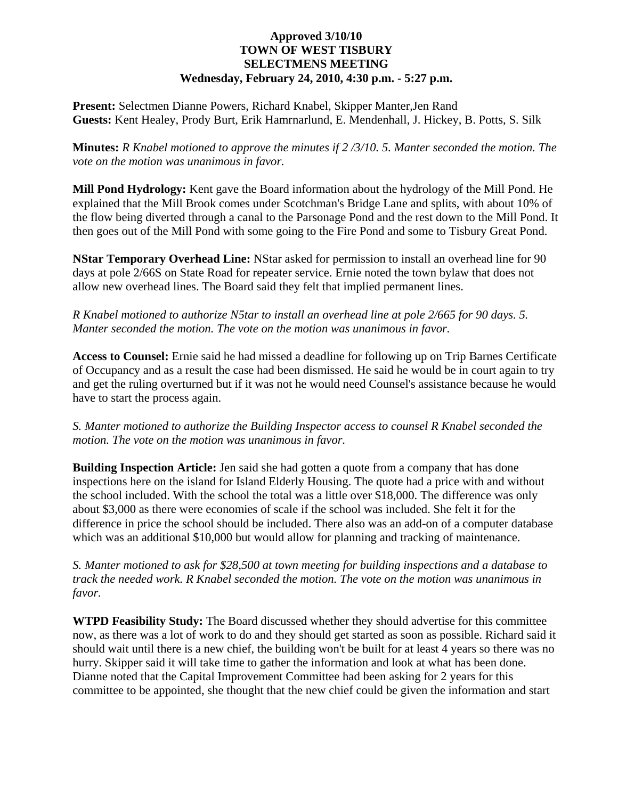## **Approved 3/10/10 TOWN OF WEST TISBURY SELECTMENS MEETING Wednesday, February 24, 2010, 4:30 p.m. - 5:27 p.m.**

**Present:** Selectmen Dianne Powers, Richard Knabel, Skipper Manter,Jen Rand **Guests:** Kent Healey, Prody Burt, Erik Hamrnarlund, E. Mendenhall, J. Hickey, B. Potts, S. Silk

**Minutes:** *R Knabel motioned to approve the minutes if 2 /3/10. 5. Manter seconded the motion. The vote on the motion was unanimous in favor.*

**Mill Pond Hydrology:** Kent gave the Board information about the hydrology of the Mill Pond. He explained that the Mill Brook comes under Scotchman's Bridge Lane and splits, with about 10% of the flow being diverted through a canal to the Parsonage Pond and the rest down to the Mill Pond. It then goes out of the Mill Pond with some going to the Fire Pond and some to Tisbury Great Pond.

**NStar Temporary Overhead Line:** NStar asked for permission to install an overhead line for 90 days at pole 2/66S on State Road for repeater service. Ernie noted the town bylaw that does not allow new overhead lines. The Board said they felt that implied permanent lines.

*R Knabel motioned to authorize N5tar to install an overhead line at pole 2/665 for 90 days. 5. Manter seconded the motion. The vote on the motion was unanimous in favor.* 

**Access to Counsel:** Ernie said he had missed a deadline for following up on Trip Barnes Certificate of Occupancy and as a result the case had been dismissed. He said he would be in court again to try and get the ruling overturned but if it was not he would need Counsel's assistance because he would have to start the process again.

*S. Manter motioned to authorize the Building Inspector access to counsel R Knabel seconded the motion. The vote on the motion was unanimous in favor.* 

**Building Inspection Article:** Jen said she had gotten a quote from a company that has done inspections here on the island for Island Elderly Housing. The quote had a price with and without the school included. With the school the total was a little over \$18,000. The difference was only about \$3,000 as there were economies of scale if the school was included. She felt it for the difference in price the school should be included. There also was an add-on of a computer database which was an additional \$10,000 but would allow for planning and tracking of maintenance.

*S. Manter motioned to ask for \$28,500 at town meeting for building inspections and a database to track the needed work. R Knabel seconded the motion. The vote on the motion was unanimous in favor.* 

**WTPD Feasibility Study:** The Board discussed whether they should advertise for this committee now, as there was a lot of work to do and they should get started as soon as possible. Richard said it should wait until there is a new chief, the building won't be built for at least 4 years so there was no hurry. Skipper said it will take time to gather the information and look at what has been done. Dianne noted that the Capital Improvement Committee had been asking for 2 years for this committee to be appointed, she thought that the new chief could be given the information and start